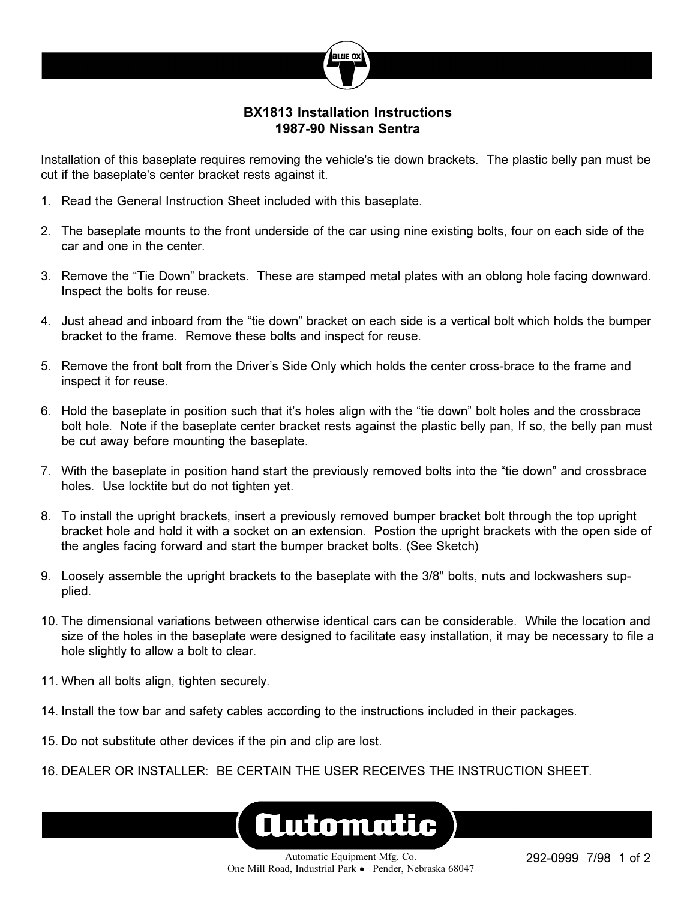

## **BX1813 Installation Instructions 1987-90 Nissan Sentra**

Installation of this baseplate requires removing the vehicle's tie down brackets. The plastic belly pan must be cut if the baseplate's center bracket rests against it.

- 1. Read the General Instruction Sheet included with this baseplate.
- 2. The baseplate mounts to the front underside of the car using nine existing bolts, four on each side of the car and one in the center.
- 3. Remove the "Tie Down" brackets. These are stamped metal plates with an oblong hole facing downward. Inspect the bolts for reuse.
- 4. Just ahead and inboard from the "tie down" bracket on each side is a vertical bolt which holds the bumper bracket to the frame. Remove these bolts and inspect for reuse.
- 5. Remove the front bolt from the Driver's Side Only which holds the center cross-brace to the frame and inspect it for reuse.
- 6. Hold the baseplate in position such that it's holes align with the "tie down" bolt holes and the crossbrace bolt hole. Note if the baseplate center bracket rests against the plastic belly pan, If so, the belly pan must be cut away before mounting the baseplate.
- 7. With the baseplate in position hand start the previously removed bolts into the "tie down" and crossbrace holes. Use locktite but do not tighten yet.
- 8. To install the upright brackets, insert a previously removed bumper bracket bolt through the top upright bracket hole and hold it with a socket on an extension. Postion the upright brackets with the open side of the angles facing forward and start the bumper bracket bolts. (See Sketch)
- 9. Loosely assemble the upright brackets to the baseplate with the 3/8" bolts, nuts and lockwashers supplied.
- 10. The dimensional variations between otherwise identical cars can be considerable. While the location and size of the holes in the baseplate were designed to facilitate easy installation, it may be necessary to file a hole slightly to allow a bolt to clear.
- 11. When all bolts align, tighten securely.
- 14. Install the tow bar and safety cables according to the instructions included in their packages.
- 15. Do not substitute other devices if the pin and clip are lost.
- 16. DEALER OR INSTALLER: BE CERTAIN THE USER RECEIVES THE INSTRUCTION SHEET.